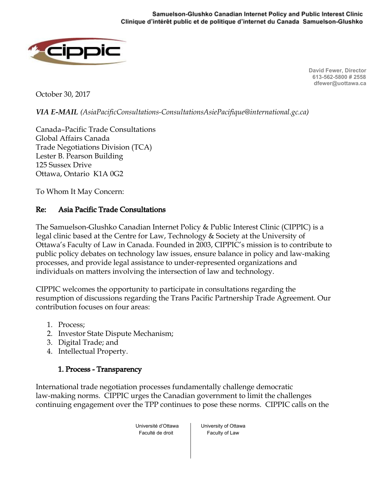

**David Fewer, Director 613-562-5800 # 2558 dfewer@uottawa.ca**

October 30, 2017

*VIA E-MAIL (AsiaPacificConsultations-ConsultationsAsiePacifique@international.gc.ca)*

Canada–Pacific Trade Consultations Global Affairs Canada Trade Negotiations Division (TCA) Lester B. Pearson Building 125 Sussex Drive Ottawa, Ontario K1A 0G2

To Whom It May Concern:

### Re: Asia Pacific Trade Consultations

The Samuelson-Glushko Canadian Internet Policy & Public Interest Clinic (CIPPIC) is a legal clinic based at the Centre for Law, Technology & Society at the University of Ottawa's Faculty of Law in Canada. Founded in 2003, CIPPIC's mission is to contribute to public policy debates on technology law issues, ensure balance in policy and law-making processes, and provide legal assistance to under-represented organizations and individuals on matters involving the intersection of law and technology.

CIPPIC welcomes the opportunity to participate in consultations regarding the resumption of discussions regarding the Trans Pacific Partnership Trade Agreement. Our contribution focuses on four areas:

- 1. Process;
- 2. Investor State Dispute Mechanism;
- 3. Digital Trade; and
- 4. Intellectual Property.

### 1. Process - Transparency

International trade negotiation processes fundamentally challenge democratic law-making norms. CIPPIC urges the Canadian government to limit the challenges continuing engagement over the TPP continues to pose these norms. CIPPIC calls on the

> Université d'Ottawa Faculté de droit

University of Ottawa Faculty of Law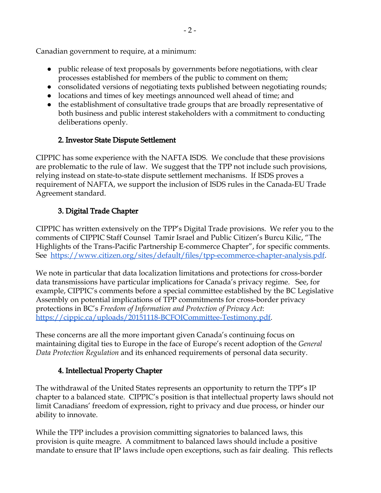Canadian government to require, at a minimum:

- public release of text proposals by governments before negotiations, with clear processes established for members of the public to comment on them;
- consolidated versions of negotiating texts published between negotiating rounds;
- locations and times of key meetings announced well ahead of time; and
- the establishment of consultative trade groups that are broadly representative of both business and public interest stakeholders with a commitment to conducting deliberations openly.

## 2. Investor State Dispute Settlement

CIPPIC has some experience with the NAFTA ISDS. We conclude that these provisions are problematic to the rule of law. We suggest that the TPP not include such provisions, relying instead on state-to-state dispute settlement mechanisms. If ISDS proves a requirement of NAFTA, we support the inclusion of ISDS rules in the Canada-EU Trade Agreement standard.

# 3. Digital Trade Chapter

CIPPIC has written extensively on the TPP's Digital Trade provisions. We refer you to the comments of CIPPIC Staff Counsel Tamir Israel and Public Citizen's Burcu Kilic, "The Highlights of the Trans-Pacific Partnership E-commerce Chapter", for specific comments. See [https://www.citizen.org/sites/default/files/tpp-ecommerce-chapter-analysis.pdf.](https://www.citizen.org/sites/default/files/tpp-ecommerce-chapter-analysis.pdf)

We note in particular that data localization limitations and protections for cross-border data transmissions have particular implications for Canada's privacy regime. See, for example, CIPPIC's comments before a special committee established by the BC Legislative Assembly on potential implications of TPP commitments for cross-border privacy protections in BC's *Freedom of Information and Protection of Privacy Act*: <https://cippic.ca/uploads/20151118-BCFOICommittee-Testimony.pdf>.

These concerns are all the more important given Canada's continuing focus on maintaining digital ties to Europe in the face of Europe's recent adoption of the *General Data Protection Regulation* and its enhanced requirements of personal data security.

## 4. Intellectual Property Chapter

The withdrawal of the United States represents an opportunity to return the TPP's IP chapter to a balanced state. CIPPIC's position is that intellectual property laws should not limit Canadians' freedom of expression, right to privacy and due process, or hinder our ability to innovate.

While the TPP includes a provision committing signatories to balanced laws, this provision is quite meagre. A commitment to balanced laws should include a positive mandate to ensure that IP laws include open exceptions, such as fair dealing. This reflects